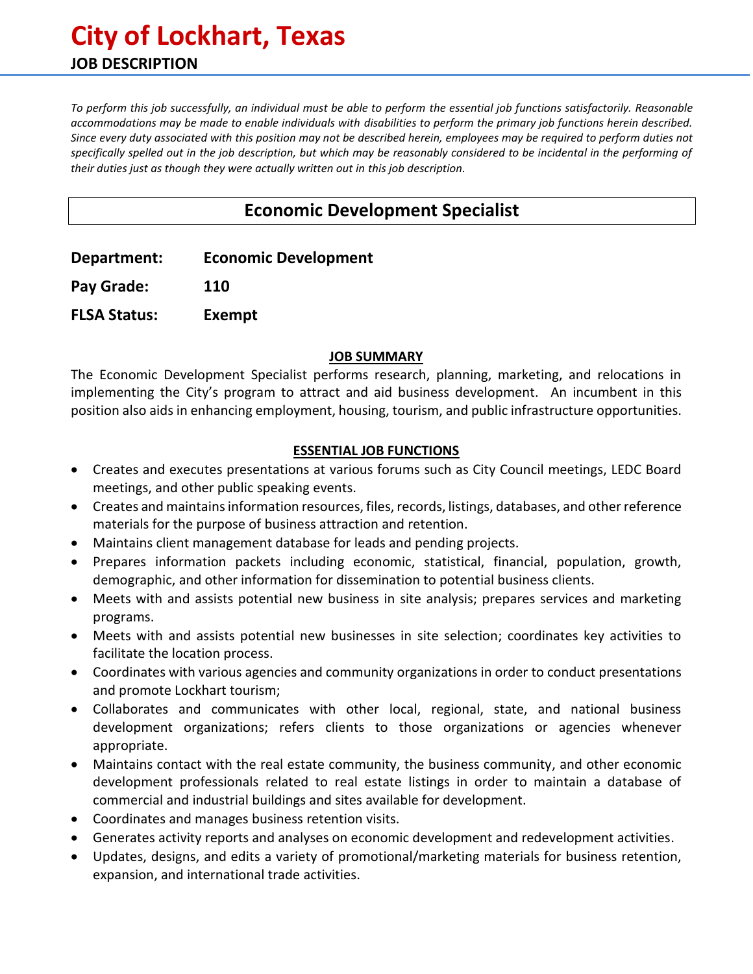# **City of Lockhart, Texas JOB DESCRIPTION**

*To perform this job successfully, an individual must be able to perform the essential job functions satisfactorily. Reasonable accommodations may be made to enable individuals with disabilities to perform the primary job functions herein described. Since every duty associated with this position may not be described herein, employees may be required to perform duties not specifically spelled out in the job description, but which may be reasonably considered to be incidental in the performing of their duties just as though they were actually written out in this job description.*

# **Economic Development Specialist**

**Department: Economic Development**

**Pay Grade: 110**

**FLSA Status: Exempt**

#### **JOB SUMMARY**

The Economic Development Specialist performs research, planning, marketing, and relocations in implementing the City's program to attract and aid business development. An incumbent in this position also aids in enhancing employment, housing, tourism, and public infrastructure opportunities.

## **ESSENTIAL JOB FUNCTIONS**

- Creates and executes presentations at various forums such as City Council meetings, LEDC Board meetings, and other public speaking events.
- Creates and maintains information resources, files, records, listings, databases, and other reference materials for the purpose of business attraction and retention.
- Maintains client management database for leads and pending projects.
- Prepares information packets including economic, statistical, financial, population, growth, demographic, and other information for dissemination to potential business clients.
- Meets with and assists potential new business in site analysis; prepares services and marketing programs.
- Meets with and assists potential new businesses in site selection; coordinates key activities to facilitate the location process.
- Coordinates with various agencies and community organizations in order to conduct presentations and promote Lockhart tourism;
- Collaborates and communicates with other local, regional, state, and national business development organizations; refers clients to those organizations or agencies whenever appropriate.
- Maintains contact with the real estate community, the business community, and other economic development professionals related to real estate listings in order to maintain a database of commercial and industrial buildings and sites available for development.
- Coordinates and manages business retention visits.
- Generates activity reports and analyses on economic development and redevelopment activities.
- Updates, designs, and edits a variety of promotional/marketing materials for business retention, expansion, and international trade activities.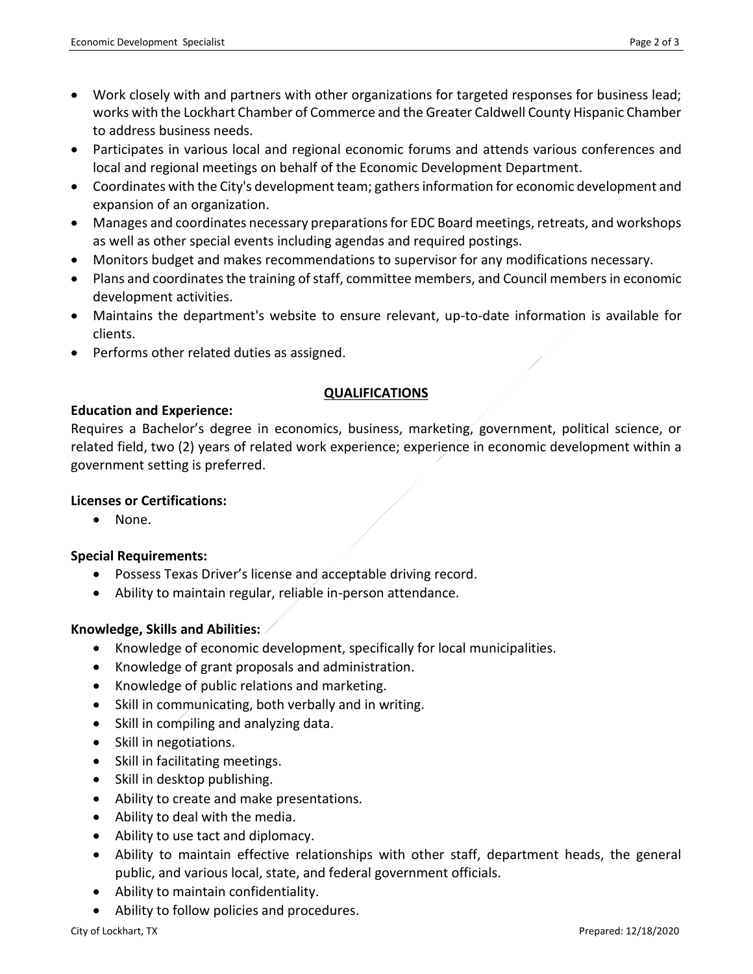- Work closely with and partners with other organizations for targeted responses for business lead; works with the Lockhart Chamber of Commerce and the Greater Caldwell County Hispanic Chamber to address business needs.
- Participates in various local and regional economic forums and attends various conferences and local and regional meetings on behalf of the Economic Development Department.
- Coordinates with the City's development team; gathers information for economic development and expansion of an organization.
- Manages and coordinates necessary preparations for EDC Board meetings, retreats, and workshops as well as other special events including agendas and required postings.
- Monitors budget and makes recommendations to supervisor for any modifications necessary.
- Plans and coordinates the training of staff, committee members, and Council members in economic development activities.
- Maintains the department's website to ensure relevant, up-to-date information is available for clients.
- Performs other related duties as assigned.

## **QUALIFICATIONS**

## **Education and Experience:**

Requires a Bachelor's degree in economics, business, marketing, government, political science, or related field, two (2) years of related work experience; experience in economic development within a government setting is preferred.

## **Licenses or Certifications:**

• None.

## **Special Requirements:**

- Possess Texas Driver's license and acceptable driving record.
- Ability to maintain regular, reliable in-person attendance.

## **Knowledge, Skills and Abilities:**

- Knowledge of economic development, specifically for local municipalities.
- Knowledge of grant proposals and administration.
- Knowledge of public relations and marketing.
- Skill in communicating, both verbally and in writing.
- Skill in compiling and analyzing data.
- Skill in negotiations.
- Skill in facilitating meetings.
- Skill in desktop publishing.
- Ability to create and make presentations.
- Ability to deal with the media.
- Ability to use tact and diplomacy.
- Ability to maintain effective relationships with other staff, department heads, the general public, and various local, state, and federal government officials.
- Ability to maintain confidentiality.
- Ability to follow policies and procedures.